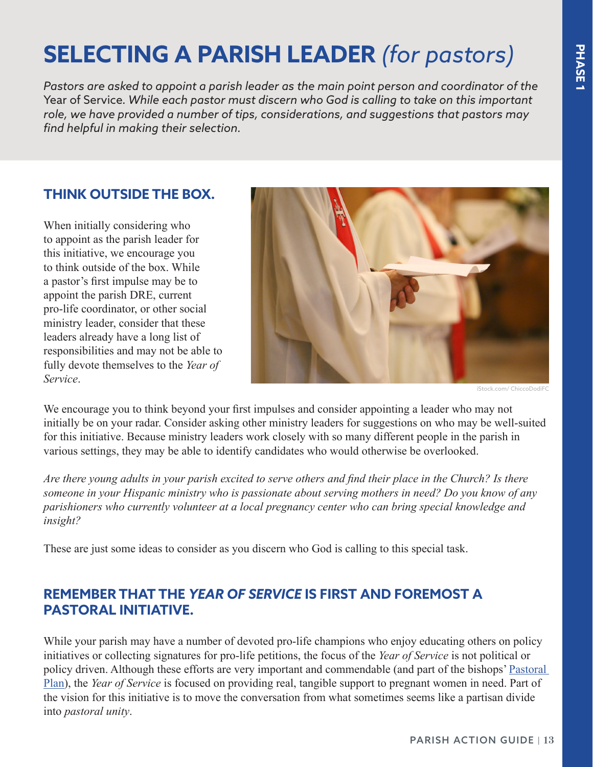# **SELECTING A PARISH LEADER** *(for pastors)*

*Pastors are asked to appoint a parish leader as the main point person and coordinator of the*  Year of Service*. While each pastor must discern who God is calling to take on this important role, we have provided a number of tips, considerations, and suggestions that pastors may find helpful in making their selection.*

#### **THINK OUTSIDE THE BOX.**

When initially considering who to appoint as the parish leader for this initiative, we encourage you to think outside of the box. While a pastor's first impulse may be to appoint the parish DRE, current pro-life coordinator, or other social ministry leader, consider that these leaders already have a long list of responsibilities and may not be able to fully devote themselves to the *Year of Service*.



iStock.com/ ChiccoDodiF

We encourage you to think beyond your first impulses and consider appointing a leader who may not initially be on your radar. Consider asking other ministry leaders for suggestions on who may be well-suited for this initiative. Because ministry leaders work closely with so many different people in the parish in various settings, they may be able to identify candidates who would otherwise be overlooked.

*Are there young adults in your parish excited to serve others and find their place in the Church? Is there someone in your Hispanic ministry who is passionate about serving mothers in need? Do you know of any parishioners who currently volunteer at a local pregnancy center who can bring special knowledge and insight?*

These are just some ideas to consider as you discern who God is calling to this special task.

### **REMEMBER THAT THE** *YEAR OF SERVICE* **IS FIRST AND FOREMOST A PASTORAL INITIATIVE.**

While your parish may have a number of devoted pro-life champions who enjoy educating others on policy initiatives or collecting signatures for pro-life petitions, the focus of the *Year of Service* is not political or policy driven. Although these efforts are very important and commendable (and part of the bishops' Pastoral [Plan](http://www.usccb.org/about/pro-life-activities/pastoral-plan-prolife-activities.cfm)), the *Year of Service* is focused on providing real, tangible support to pregnant women in need. Part of the vision for this initiative is to move the conversation from what sometimes seems like a partisan divide into *pastoral unity*.